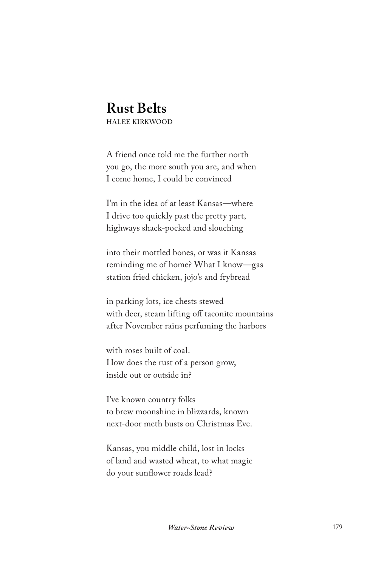## **Rust Belts**

HALEE KIRKWOOD

A friend once told me the further north you go, the more south you are, and when I come home, I could be convinced

I'm in the idea of at least Kansas—where I drive too quickly past the pretty part, highways shack-pocked and slouching

into their mottled bones, or was it Kansas reminding me of home? What I know—gas station fried chicken, jojo's and frybread

in parking lots, ice chests stewed with deer, steam lifting off taconite mountains after November rains perfuming the harbors

with roses built of coal. How does the rust of a person grow, inside out or outside in?

I've known country folks to brew moonshine in blizzards, known next-door meth busts on Christmas Eve.

Kansas, you middle child, lost in locks of land and wasted wheat, to what magic do your sunflower roads lead?